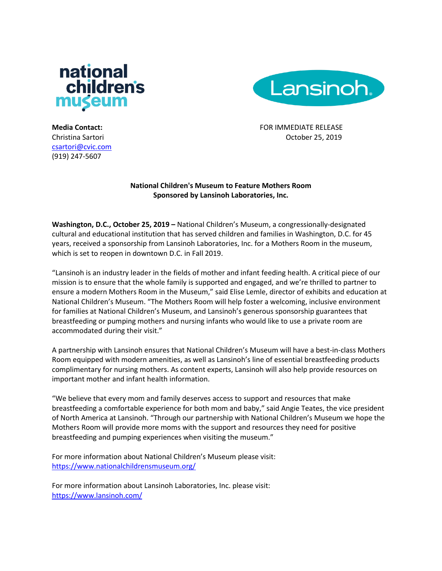



[csartori@cvic.com](mailto:csartori@cvic.com) (919) 247-5607

**Media Contact:** FOR IMMEDIATE RELEASE Christina Sartori October 25, 2019

## **National Children's Museum to Feature Mothers Room Sponsored by Lansinoh Laboratories, Inc.**

**Washington, D.C., October 25, 2019 –** National Children's Museum, a congressionally-designated cultural and educational institution that has served children and families in Washington, D.C. for 45 years, received a sponsorship from Lansinoh Laboratories, Inc. for a Mothers Room in the museum, which is set to reopen in downtown D.C. in Fall 2019.

"Lansinoh is an industry leader in the fields of mother and infant feeding health. A critical piece of our mission is to ensure that the whole family is supported and engaged, and we're thrilled to partner to ensure a modern Mothers Room in the Museum," said Elise Lemle, director of exhibits and education at National Children's Museum. "The Mothers Room will help foster a welcoming, inclusive environment for families at National Children's Museum, and Lansinoh's generous sponsorship guarantees that breastfeeding or pumping mothers and nursing infants who would like to use a private room are accommodated during their visit."

A partnership with Lansinoh ensures that National Children's Museum will have a best-in-class Mothers Room equipped with modern amenities, as well as Lansinoh's line of essential breastfeeding products complimentary for nursing mothers. As content experts, Lansinoh will also help provide resources on important mother and infant health information.

"We believe that every mom and family deserves access to support and resources that make breastfeeding a comfortable experience for both mom and baby," said Angie Teates, the vice president of North America at Lansinoh. "Through our partnership with National Children's Museum we hope the Mothers Room will provide more moms with the support and resources they need for positive breastfeeding and pumping experiences when visiting the museum."

For more information about National Children's Museum please visit: <https://www.nationalchildrensmuseum.org/>

For more information about Lansinoh Laboratories, Inc. please visit: <https://www.lansinoh.com/>